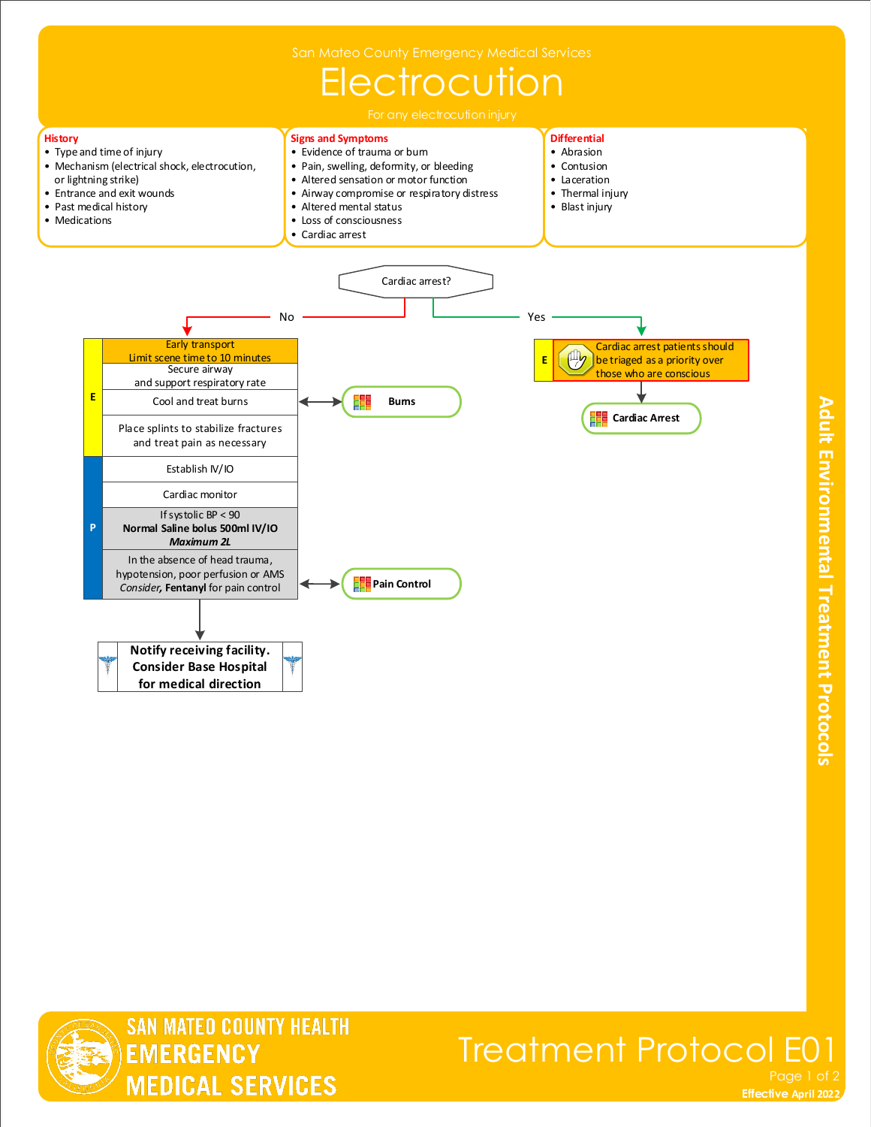